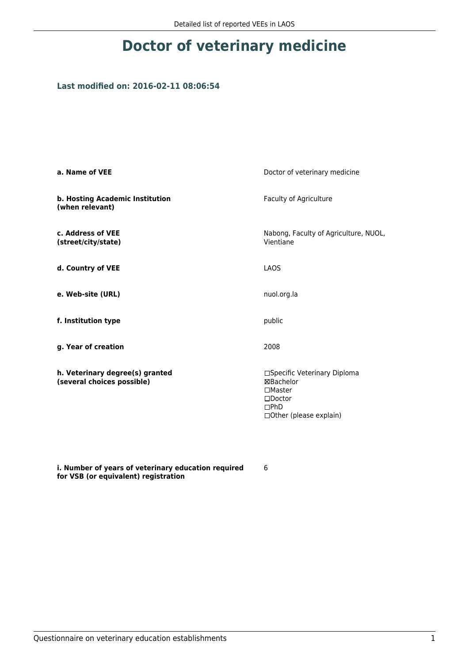## **Doctor of veterinary medicine**

## **Last modified on: 2016-02-11 08:06:54**

| a. Name of VEE                                                | Doctor of veterinary medicine                                                                                        |  |
|---------------------------------------------------------------|----------------------------------------------------------------------------------------------------------------------|--|
| b. Hosting Academic Institution<br>(when relevant)            | Faculty of Agriculture                                                                                               |  |
| c. Address of VEE<br>(street/city/state)                      | Nabong, Faculty of Agriculture, NUOL,<br>Vientiane                                                                   |  |
| d. Country of VEE                                             | LAOS                                                                                                                 |  |
| e. Web-site (URL)                                             | nuol.org.la                                                                                                          |  |
| f. Institution type                                           | public                                                                                                               |  |
| g. Year of creation                                           | 2008                                                                                                                 |  |
| h. Veterinary degree(s) granted<br>(several choices possible) | □Specific Veterinary Diploma<br>⊠Bachelor<br>$\square$ Master<br>$\square$ Doctor<br>DPhD<br>□Other (please explain) |  |

**i. Number of years of veterinary education required for VSB (or equivalent) registration**

6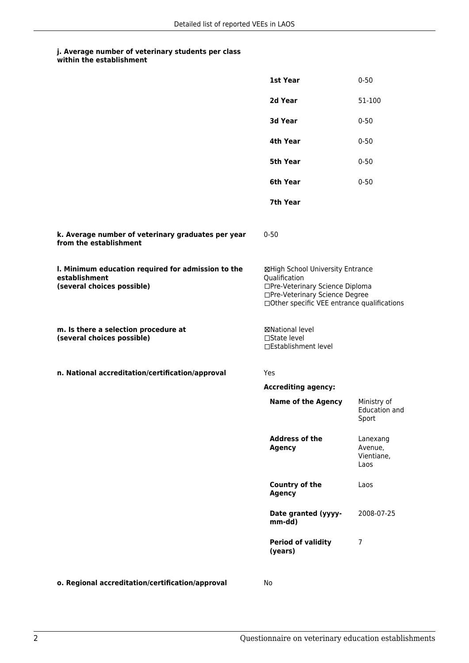## **j. Average number of veterinary students per class within the establishment**

|                                                                                                   | 1st Year                                                                                                                                                              | $0 - 50$                                  |
|---------------------------------------------------------------------------------------------------|-----------------------------------------------------------------------------------------------------------------------------------------------------------------------|-------------------------------------------|
|                                                                                                   | 2d Year                                                                                                                                                               | 51-100                                    |
|                                                                                                   | 3d Year                                                                                                                                                               | $0 - 50$                                  |
|                                                                                                   | 4th Year                                                                                                                                                              | $0 - 50$                                  |
|                                                                                                   | 5th Year                                                                                                                                                              | $0 - 50$                                  |
|                                                                                                   | 6th Year                                                                                                                                                              | $0 - 50$                                  |
|                                                                                                   | 7th Year                                                                                                                                                              |                                           |
| k. Average number of veterinary graduates per year<br>from the establishment                      | $0 - 50$                                                                                                                                                              |                                           |
| I. Minimum education required for admission to the<br>establishment<br>(several choices possible) | ⊠High School University Entrance<br>Qualification<br>□Pre-Veterinary Science Diploma<br>□Pre-Veterinary Science Degree<br>□Other specific VEE entrance qualifications |                                           |
| m. Is there a selection procedure at<br>(several choices possible)                                | ⊠National level<br>$\Box$ State level<br>□Establishment level                                                                                                         |                                           |
| n. National accreditation/certification/approval                                                  | Yes                                                                                                                                                                   |                                           |
|                                                                                                   | <b>Accrediting agency:</b>                                                                                                                                            |                                           |
|                                                                                                   | <b>Name of the Agency</b>                                                                                                                                             | Ministry of<br>Education and<br>Sport     |
|                                                                                                   | <b>Address of the</b><br><b>Agency</b>                                                                                                                                | Lanexang<br>Avenue,<br>Vientiane,<br>Laos |
|                                                                                                   | Country of the<br><b>Agency</b>                                                                                                                                       | Laos                                      |
|                                                                                                   | Date granted (yyyy-<br>mm-dd)                                                                                                                                         | 2008-07-25                                |
|                                                                                                   | <b>Period of validity</b><br>(years)                                                                                                                                  | 7                                         |
|                                                                                                   |                                                                                                                                                                       |                                           |

**o. Regional accreditation/certification/approval** No